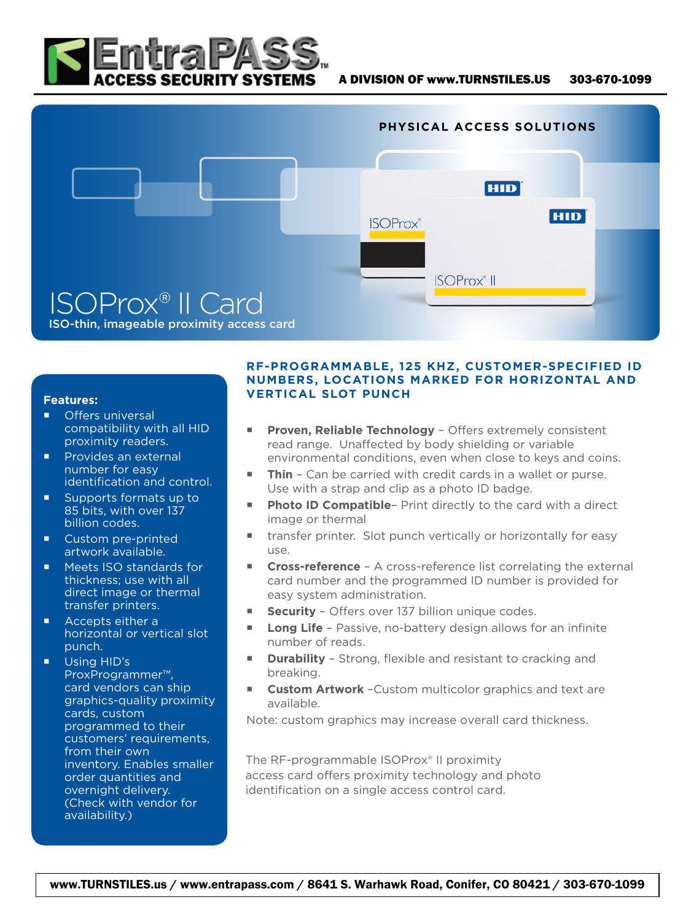



## **Features:**

- **Offers universal** compatibility with all HID proximity readers.
- **Provides an external** number for easy identification and control.
- Supports formats up to 85 bits, with over 137 billion codes.
- Custom pre-printed artwork available.
- Meets ISO standards for thickness; use with all direct image or thermal transfer printers.
- **Accepts either a** horizontal or vertical slot punch.
- **Using HID's** ProxProgrammer™, card vendors can ship graphics-quality proximity cards, custom programmed to their customers' requirements, from their own inventory. Enables smaller order quantities and overnight delivery. (Check with vendor for availability.)

## **RF-PROGRAMMABLE, 125 KHZ, CUSTOMER-SPECIFIED ID NUMBERS, LOCATIONS MARKED FOR HORIZONTAL AND VERTICAL SLOT PUNCH**

- **Proven, Reliable Technology** Offers extremely consistent read range. Unaffected by body shielding or variable environmental conditions, even when close to keys and coins.
- **Thin** Can be carried with credit cards in a wallet or purse. Use with a strap and clip as a photo ID badge.
- Photo ID Compatible- Print directly to the card with a direct image or thermal
- transfer printer. Slot punch vertically or horizontally for easy use.
- **Cross-reference** A cross-reference list correlating the external card number and the programmed ID number is provided for easy system administration.
- **Security** Offers over 137 billion unique codes.
- **Long Life** Passive, no-battery design allows for an infinite number of reads.
- **Durability** Strong, flexible and resistant to cracking and breaking.
- **Custom Artwork** –Custom multicolor graphics and text are available.

Note: custom graphics may increase overall card thickness.

The RF-programmable ISOProx® II proximity access card offers proximity technology and photo identification on a single access control card.